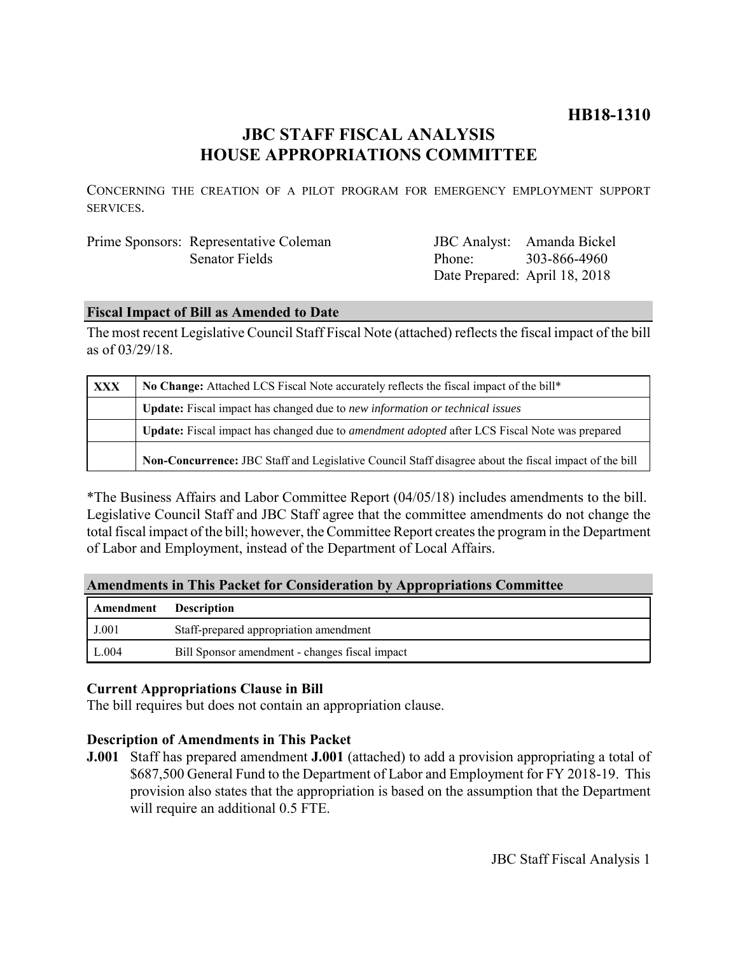# **HB18-1310**

# **JBC STAFF FISCAL ANALYSIS HOUSE APPROPRIATIONS COMMITTEE**

CONCERNING THE CREATION OF A PILOT PROGRAM FOR EMERGENCY EMPLOYMENT SUPPORT SERVICES.

| Prime Sponsors: Representative Coleman |
|----------------------------------------|
| <b>Senator Fields</b>                  |

JBC Analyst: Amanda Bickel Phone: Date Prepared: April 18, 2018 303-866-4960

## **Fiscal Impact of Bill as Amended to Date**

The most recent Legislative Council Staff Fiscal Note (attached) reflects the fiscal impact of the bill as of 03/29/18.

| <b>XXX</b> | No Change: Attached LCS Fiscal Note accurately reflects the fiscal impact of the bill*                      |  |
|------------|-------------------------------------------------------------------------------------------------------------|--|
|            | <b>Update:</b> Fiscal impact has changed due to new information or technical issues                         |  |
|            | <b>Update:</b> Fiscal impact has changed due to <i>amendment adopted</i> after LCS Fiscal Note was prepared |  |
|            | Non-Concurrence: JBC Staff and Legislative Council Staff disagree about the fiscal impact of the bill       |  |

\*The Business Affairs and Labor Committee Report (04/05/18) includes amendments to the bill. Legislative Council Staff and JBC Staff agree that the committee amendments do not change the total fiscal impact of the bill; however, the Committee Report creates the program in the Department of Labor and Employment, instead of the Department of Local Affairs.

## **Amendments in This Packet for Consideration by Appropriations Committee**

| Amendment | <b>Description</b>                             |
|-----------|------------------------------------------------|
| J.001     | Staff-prepared appropriation amendment         |
| L.004     | Bill Sponsor amendment - changes fiscal impact |

# **Current Appropriations Clause in Bill**

The bill requires but does not contain an appropriation clause.

# **Description of Amendments in This Packet**

**J.001** Staff has prepared amendment **J.001** (attached) to add a provision appropriating a total of \$687,500 General Fund to the Department of Labor and Employment for FY 2018-19. This provision also states that the appropriation is based on the assumption that the Department will require an additional 0.5 FTE.